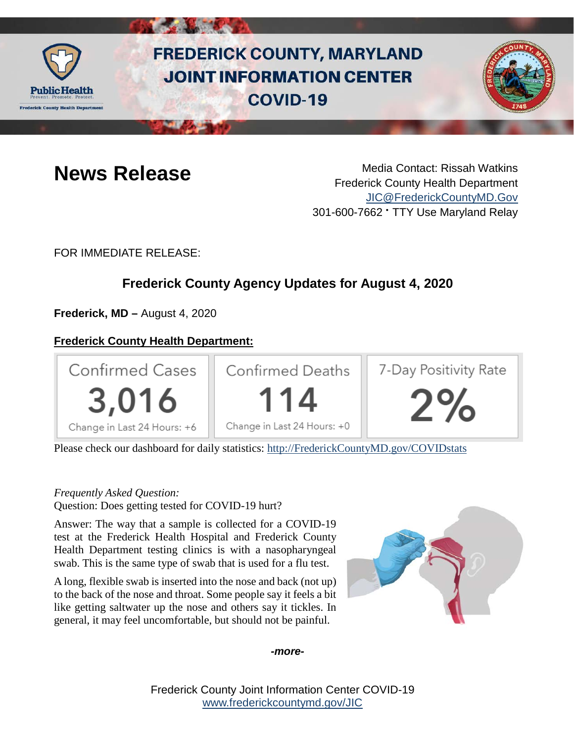

# **FREDERICK COUNTY, MARYLAND JOINT INFORMATION CENTER COVID-19**



**News Release** Media Contact: Rissah Watkins Frederick County Health Department [JIC@FrederickCountyMD.Gov](mailto:JIC@FrederickCountyMD.Gov) 301-600-7662 • TTY Use Maryland Relay

FOR IMMEDIATE RELEASE:

# **Frederick County Agency Updates for August 4, 2020**

**Frederick, MD –** August 4, 2020

# **Frederick County Health Department:**



Please check our dashboard for daily statistics: [http://FrederickCountyMD.gov/COVIDstats](http://frederickcountymd.gov/COVIDstats)

# *Frequently Asked Question:*

Question: Does getting tested for COVID-19 hurt?

Answer: The way that a sample is collected for a COVID-19 test at the Frederick Health Hospital and Frederick County Health Department testing clinics is with a nasopharyngeal swab. This is the same type of swab that is used for a flu test.

A long, flexible swab is inserted into the nose and back (not up) to the back of the nose and throat. Some people say it feels a bit like getting saltwater up the nose and others say it tickles. In general, it may feel uncomfortable, but should not be painful.



## *-more-*

Frederick County Joint Information Center COVID-19 [www.frederickcountymd.gov/JIC](https://frederickcountymd.gov/JIC)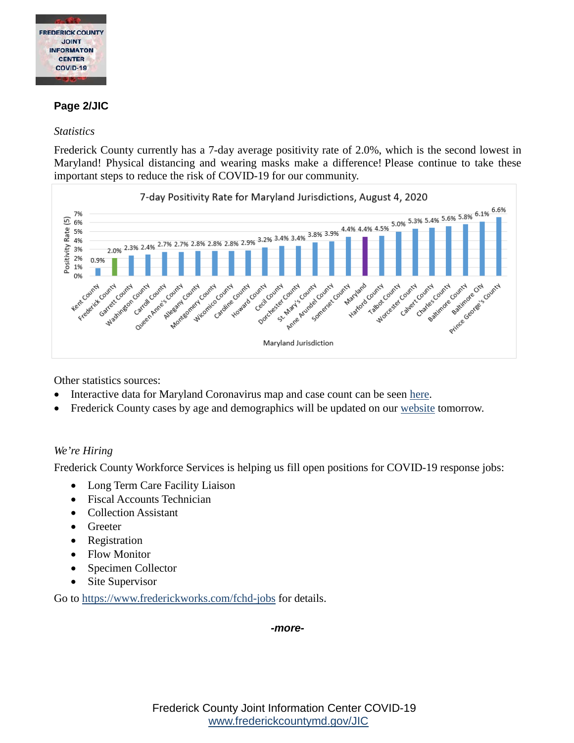

# **Page 2/JIC**

### *Statistics*

Frederick County currently has a 7-day average positivity rate of 2.0%, which is the second lowest in Maryland! Physical distancing and wearing masks make a difference! Please continue to take these [important steps to reduce the risk of COVID-19 for our community.](https://health.frederickcountymd.gov/DocumentCenter/View/6127/MD-Counties-Positivity-Rate-8420) 



Other statistics sources:

- Interactive data for Maryland Coronavirus map and case count can be seen [here.](https://www.nytimes.com/interactive/2020/us/maryland-coronavirus-cases.html#county)
- Frederick County cases by age and demographics will be updated on our [website](http://frederickcountymd.gov/COVIDstats) tomorrow.

## *We're Hiring*

Frederick County Workforce Services is helping us fill open positions for COVID-19 response jobs:

- Long Term Care Facility Liaison
- Fiscal Accounts Technician
- Collection Assistant
- Greeter
- Registration
- Flow Monitor
- Specimen Collector
- Site Supervisor

Go to<https://www.frederickworks.com/fchd-jobs> for details.

#### *-more-*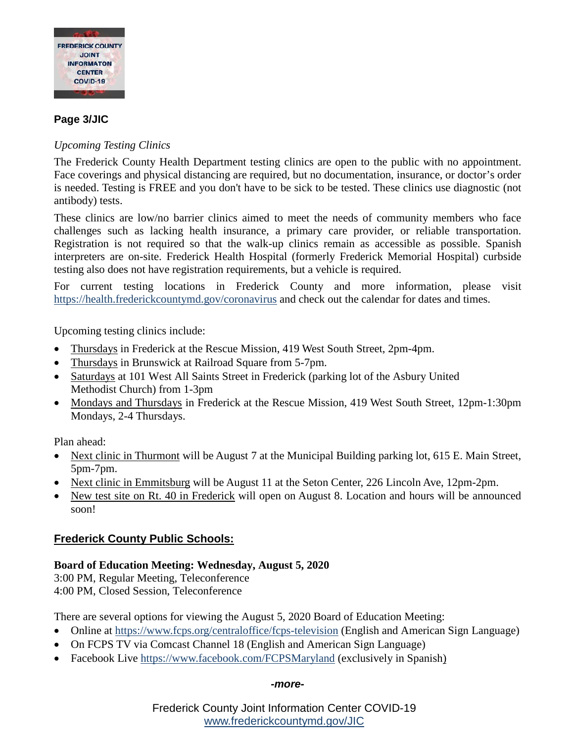

# **Page 3/JIC**

# *Upcoming Testing Clinics*

The Frederick County Health Department testing clinics are open to the public with no appointment. Face coverings and physical distancing are required, but no documentation, insurance, or doctor's order is needed. Testing is FREE and you don't have to be sick to be tested. These clinics use diagnostic (not antibody) tests.

These clinics are low/no barrier clinics aimed to meet the needs of community members who face challenges such as lacking health insurance, a primary care provider, or reliable transportation. Registration is not required so that the walk-up clinics remain as accessible as possible. Spanish interpreters are on-site. Frederick Health Hospital (formerly Frederick Memorial Hospital) curbside testing also does not have registration requirements, but a vehicle is required.

For current testing locations in Frederick County and more information, please visit <https://health.frederickcountymd.gov/coronavirus> and check out the calendar for dates and times.

Upcoming testing clinics include:

- Thursdays in Frederick at the Rescue Mission, 419 West South Street, 2pm-4pm.
- Thursdays in Brunswick at Railroad Square from 5-7pm.
- Saturdays at 101 West All Saints Street in Frederick (parking lot of the Asbury United Methodist Church) from 1-3pm
- Mondays and Thursdays in Frederick at the Rescue Mission, 419 West South Street, 12pm-1:30pm Mondays, 2-4 Thursdays.

Plan ahead:

- Next clinic in Thurmont will be August 7 at the Municipal Building parking lot, 615 E. Main Street, 5pm-7pm.
- Next clinic in Emmitsburg will be August 11 at the Seton Center, 226 Lincoln Ave, 12pm-2pm.
- New test site on Rt. 40 in Frederick will open on August 8. Location and hours will be announced soon!

# **Frederick County Public Schools:**

# **Board of Education Meeting: Wednesday, August 5, 2020**

3:00 PM, Regular Meeting, Teleconference 4:00 PM, Closed Session, Teleconference

There are several options for viewing the August 5, 2020 Board of Education Meeting:

- Online at [https://www.fcps.org/centraloffice/fcps-television](https://urldefense.com/v3/__https:/www.fcps.org/centraloffice/fcps-television__;!!I2-OFBIJoQBJqqeup9g!SgyNhNccvxswuOehxP6VmSwC34HF0EQ_FCCXDpeEXA8YyILkAnKnieCFDLQMnuu7IrgHRjeU2yY$) (English and American Sign Language)
- On FCPS TV via Comcast Channel 18 (English and American Sign Language)
- Facebook Live [https://www.facebook.com/FCPSMaryland](https://urldefense.com/v3/__https:/www.facebook.com/FCPSMaryland__;!!I2-OFBIJoQBJqqeup9g!SgyNhNccvxswuOehxP6VmSwC34HF0EQ_FCCXDpeEXA8YyILkAnKnieCFDLQMnuu7IrgHf2eAPqM$) (exclusively in Spanish)

#### *-more-*